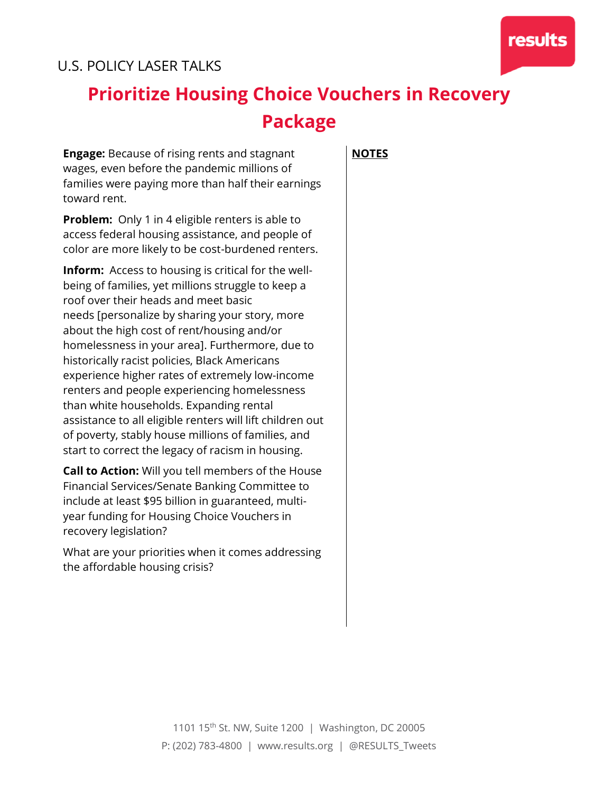

## U.S. POLICY LASER TALKS

## **Prioritize Housing Choice Vouchers in Recovery Package**

**Engage:** Because of rising rents and stagnant wages, even before the pandemic millions of families were paying more than half their earnings toward rent.

**Problem:** Only 1 in 4 eligible renters is able to access federal housing assistance, and people of color are more likely to be cost-burdened renters.

**Inform:** Access to housing is critical for the wellbeing of families, yet millions struggle to keep a roof over their heads and meet basic needs [personalize by sharing your story, more about the high cost of rent/housing and/or homelessness in your area]. Furthermore, due to historically racist policies, Black Americans experience higher rates of extremely low-income renters and people experiencing homelessness than white households. Expanding rental assistance to all eligible renters will lift children out of poverty, stably house millions of families, and start to correct the legacy of racism in housing.

**Call to Action:** Will you tell members of the House Financial Services/Senate Banking Committee to include at least \$95 billion in guaranteed, multiyear funding for Housing Choice Vouchers in recovery legislation?

What are your priorities when it comes addressing the affordable housing crisis?

**NOTES**